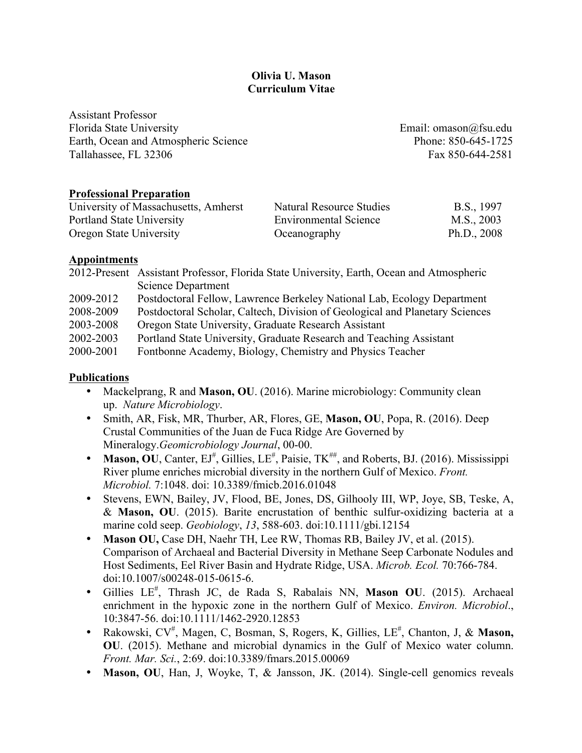## **Olivia U. Mason Curriculum Vitae**

Assistant Professor Florida State University Email: omason@fsu.edu Earth, Ocean and Atmospheric Science Phone: 850-645-1725 Tallahassee, FL 32306 Fax 850-644-2581

#### **Professional Preparation**

| University of Massachusetts, Amherst | Natural Resource Studies     | B.S., 1997    |
|--------------------------------------|------------------------------|---------------|
| Portland State University            | <b>Environmental Science</b> | M.S., 2003    |
| Oregon State University              | Oceanography                 | Ph.D., $2008$ |

#### **Appointments**

|           | 2012-Present Assistant Professor, Florida State University, Earth, Ocean and Atmospheric |
|-----------|------------------------------------------------------------------------------------------|
|           | Science Department                                                                       |
| 2009-2012 | Postdoctoral Fellow, Lawrence Berkeley National Lab, Ecology Department                  |
| 2008-2009 | Postdoctoral Scholar, Caltech, Division of Geological and Planetary Sciences             |
| 2003-2008 | Oregon State University, Graduate Research Assistant                                     |
| 2002-2003 | Portland State University, Graduate Research and Teaching Assistant                      |
| 2000-2001 | Fontbonne Academy, Biology, Chemistry and Physics Teacher                                |

#### **Publications**

- Mackelprang, R and **Mason, OU**. (2016). Marine microbiology: Community clean up. *Nature Microbiology*.
- Smith, AR, Fisk, MR, Thurber, AR, Flores, GE, **Mason, OU**, Popa, R. (2016). Deep Crustal Communities of the Juan de Fuca Ridge Are Governed by Mineralogy.*Geomicrobiology Journal*, 00-00.
- Mason, OU, Canter,  $EJ^{\#}$ , Gillies,  $LE^{\#}$ , Paisie,  $TK^{\#}$ , and Roberts, BJ. (2016). Mississippi River plume enriches microbial diversity in the northern Gulf of Mexico. *Front. Microbiol.* 7:1048. doi: 10.3389/fmicb.2016.01048
- Stevens, EWN, Bailey, JV, Flood, BE, Jones, DS, Gilhooly III, WP, Joye, SB, Teske, A, & **Mason, OU**. (2015). Barite encrustation of benthic sulfur-oxidizing bacteria at a marine cold seep. *Geobiology*, *13*, 588-603. doi:10.1111/gbi.12154
- **Mason OU,** Case DH, Naehr TH, Lee RW, Thomas RB, Bailey JV, et al. (2015). Comparison of Archaeal and Bacterial Diversity in Methane Seep Carbonate Nodules and Host Sediments, Eel River Basin and Hydrate Ridge, USA. *Microb. Ecol.* 70:766-784. doi:10.1007/s00248-015-0615-6.
- Gillies LE# , Thrash JC, de Rada S, Rabalais NN, **Mason OU**. (2015). Archaeal enrichment in the hypoxic zone in the northern Gulf of Mexico. *Environ. Microbiol*., 10:3847-56. doi:10.1111/1462-2920.12853
- Rakowski, CV<sup>#</sup>, Magen, C, Bosman, S, Rogers, K, Gillies, LE<sup>#</sup>, Chanton, J, & Mason, **OU**. (2015). Methane and microbial dynamics in the Gulf of Mexico water column. *Front. Mar. Sci.*, 2:69. doi:10.3389/fmars.2015.00069
- **Mason, OU**, Han, J, Woyke, T, & Jansson, JK. (2014). Single-cell genomics reveals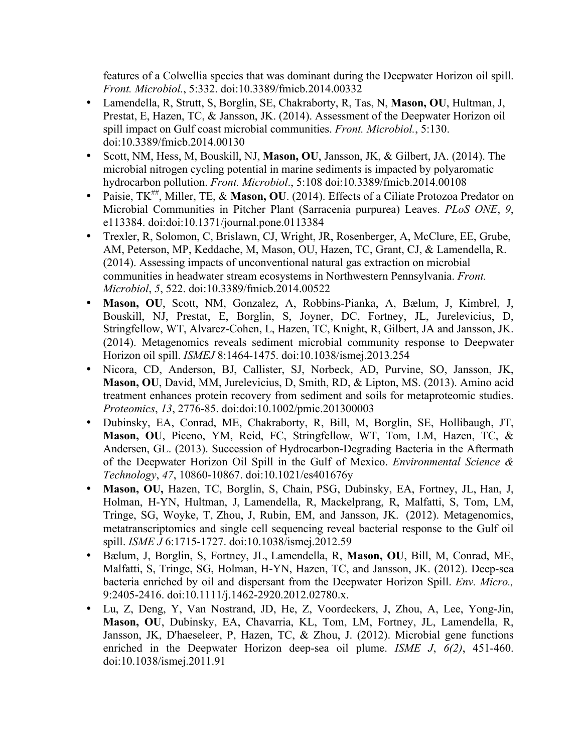features of a Colwellia species that was dominant during the Deepwater Horizon oil spill. *Front. Microbiol.*, 5:332. doi:10.3389/fmicb.2014.00332

- Lamendella, R, Strutt, S, Borglin, SE, Chakraborty, R, Tas, N, **Mason, OU**, Hultman, J, Prestat, E, Hazen, TC, & Jansson, JK. (2014). Assessment of the Deepwater Horizon oil spill impact on Gulf coast microbial communities. *Front. Microbiol.*, 5:130. doi:10.3389/fmicb.2014.00130
- Scott, NM, Hess, M, Bouskill, NJ, **Mason, OU**, Jansson, JK, & Gilbert, JA. (2014). The microbial nitrogen cycling potential in marine sediments is impacted by polyaromatic hydrocarbon pollution. *Front. Microbiol*., 5:108 doi:10.3389/fmicb.2014.00108
- Paisie,  $TK^{\#}$ , Miller, TE, & Mason, OU. (2014). Effects of a Ciliate Protozoa Predator on Microbial Communities in Pitcher Plant (Sarracenia purpurea) Leaves. *PLoS ONE*, *9*, e113384. doi:doi:10.1371/journal.pone.0113384
- Trexler, R, Solomon, C, Brislawn, CJ, Wright, JR, Rosenberger, A, McClure, EE, Grube, AM, Peterson, MP, Keddache, M, Mason, OU, Hazen, TC, Grant, CJ, & Lamendella, R. (2014). Assessing impacts of unconventional natural gas extraction on microbial communities in headwater stream ecosystems in Northwestern Pennsylvania. *Front. Microbiol*, *5*, 522. doi:10.3389/fmicb.2014.00522
- **Mason, OU**, Scott, NM, Gonzalez, A, Robbins-Pianka, A, Bælum, J, Kimbrel, J, Bouskill, NJ, Prestat, E, Borglin, S, Joyner, DC, Fortney, JL, Jurelevicius, D, Stringfellow, WT, Alvarez-Cohen, L, Hazen, TC, Knight, R, Gilbert, JA and Jansson, JK. (2014). Metagenomics reveals sediment microbial community response to Deepwater Horizon oil spill. *ISMEJ* 8:1464-1475. doi:10.1038/ismej.2013.254
- Nicora, CD, Anderson, BJ, Callister, SJ, Norbeck, AD, Purvine, SO, Jansson, JK, **Mason, OU**, David, MM, Jurelevicius, D, Smith, RD, & Lipton, MS. (2013). Amino acid treatment enhances protein recovery from sediment and soils for metaproteomic studies. *Proteomics*, *13*, 2776-85. doi:doi:10.1002/pmic.201300003
- Dubinsky, EA, Conrad, ME, Chakraborty, R, Bill, M, Borglin, SE, Hollibaugh, JT, **Mason, OU**, Piceno, YM, Reid, FC, Stringfellow, WT, Tom, LM, Hazen, TC, & Andersen, GL. (2013). Succession of Hydrocarbon-Degrading Bacteria in the Aftermath of the Deepwater Horizon Oil Spill in the Gulf of Mexico. *Environmental Science & Technology*, *47*, 10860-10867. doi:10.1021/es401676y
- **Mason, OU,** Hazen, TC, Borglin, S, Chain, PSG, Dubinsky, EA, Fortney, JL, Han, J, Holman, H-YN, Hultman, J, Lamendella, R, Mackelprang, R, Malfatti, S, Tom, LM, Tringe, SG, Woyke, T, Zhou, J, Rubin, EM, and Jansson, JK. (2012). Metagenomics, metatranscriptomics and single cell sequencing reveal bacterial response to the Gulf oil spill. *ISME J* 6:1715-1727. doi:10.1038/ismej.2012.59
- Bælum, J, Borglin, S, Fortney, JL, Lamendella, R, **Mason, OU**, Bill, M, Conrad, ME, Malfatti, S, Tringe, SG, Holman, H-YN, Hazen, TC, and Jansson, JK. (2012). Deep-sea bacteria enriched by oil and dispersant from the Deepwater Horizon Spill. *Env. Micro.,* 9:2405-2416. doi:10.1111/j.1462-2920.2012.02780.x.
- Lu, Z, Deng, Y, Van Nostrand, JD, He, Z, Voordeckers, J, Zhou, A, Lee, Yong-Jin, **Mason, OU**, Dubinsky, EA, Chavarria, KL, Tom, LM, Fortney, JL, Lamendella, R, Jansson, JK, D'haeseleer, P, Hazen, TC, & Zhou, J. (2012). Microbial gene functions enriched in the Deepwater Horizon deep-sea oil plume. *ISME J*, *6(2)*, 451-460. doi:10.1038/ismej.2011.91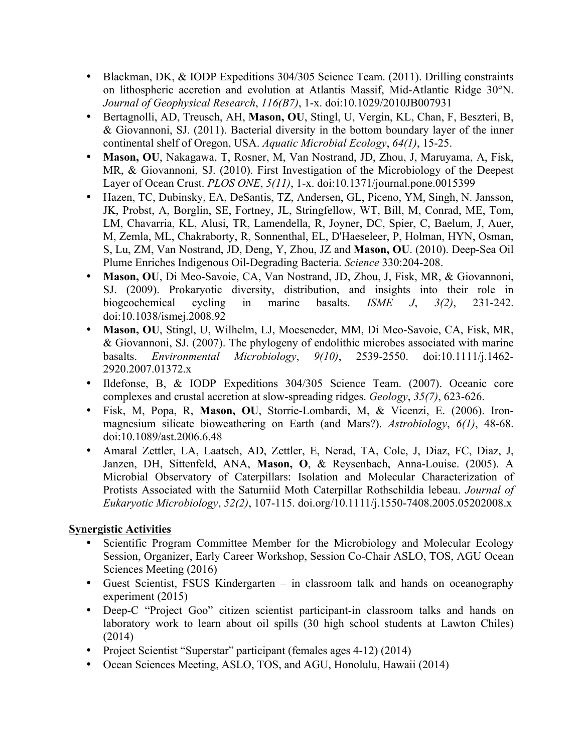- Blackman, DK, & IODP Expeditions 304/305 Science Team. (2011). Drilling constraints on lithospheric accretion and evolution at Atlantis Massif, Mid-Atlantic Ridge 30°N. *Journal of Geophysical Research*, *116(B7)*, 1-x. doi:10.1029/2010JB007931
- Bertagnolli, AD, Treusch, AH, **Mason, OU**, Stingl, U, Vergin, KL, Chan, F, Beszteri, B, & Giovannoni, SJ. (2011). Bacterial diversity in the bottom boundary layer of the inner continental shelf of Oregon, USA. *Aquatic Microbial Ecology*, *64(1)*, 15-25.
- **Mason, OU**, Nakagawa, T, Rosner, M, Van Nostrand, JD, Zhou, J, Maruyama, A, Fisk, MR, & Giovannoni, SJ. (2010). First Investigation of the Microbiology of the Deepest Layer of Ocean Crust. *PLOS ONE*, *5(11)*, 1-x. doi:10.1371/journal.pone.0015399
- Hazen, TC, Dubinsky, EA, DeSantis, TZ, Andersen, GL, Piceno, YM, Singh, N. Jansson, JK, Probst, A, Borglin, SE, Fortney, JL, Stringfellow, WT, Bill, M, Conrad, ME, Tom, LM, Chavarria, KL, Alusi, TR, Lamendella, R, Joyner, DC, Spier, C, Baelum, J, Auer, M, Zemla, ML, Chakraborty, R, Sonnenthal, EL, D'Haeseleer, P, Holman, HYN, Osman, S, Lu, ZM, Van Nostrand, JD, Deng, Y, Zhou, JZ and **Mason, OU**. (2010). Deep-Sea Oil Plume Enriches Indigenous Oil-Degrading Bacteria. *Science* 330:204-208.
- **Mason, OU**, Di Meo-Savoie, CA, Van Nostrand, JD, Zhou, J, Fisk, MR, & Giovannoni, SJ. (2009). Prokaryotic diversity, distribution, and insights into their role in biogeochemical cycling in marine basalts. *ISME J*, *3(2)*, 231-242. doi:10.1038/ismej.2008.92
- **Mason, OU**, Stingl, U, Wilhelm, LJ, Moeseneder, MM, Di Meo-Savoie, CA, Fisk, MR, & Giovannoni, SJ. (2007). The phylogeny of endolithic microbes associated with marine basalts. *Environmental Microbiology*, *9(10)*, 2539-2550. doi:10.1111/j.1462- 2920.2007.01372.x
- Ildefonse, B, & IODP Expeditions 304/305 Science Team. (2007). Oceanic core complexes and crustal accretion at slow-spreading ridges. *Geology*, *35(7)*, 623-626.
- Fisk, M, Popa, R, **Mason, OU**, Storrie-Lombardi, M, & Vicenzi, E. (2006). Ironmagnesium silicate bioweathering on Earth (and Mars?). *Astrobiology*, *6(1)*, 48-68. doi:10.1089/ast.2006.6.48
- Amaral Zettler, LA, Laatsch, AD, Zettler, E, Nerad, TA, Cole, J, Diaz, FC, Diaz, J, Janzen, DH, Sittenfeld, ANA, **Mason, O**, & Reysenbach, Anna-Louise. (2005). A Microbial Observatory of Caterpillars: Isolation and Molecular Characterization of Protists Associated with the Saturniid Moth Caterpillar Rothschildia lebeau. *Journal of Eukaryotic Microbiology*, *52(2)*, 107-115. doi.org/10.1111/j.1550-7408.2005.05202008.x

### **Synergistic Activities**

- Scientific Program Committee Member for the Microbiology and Molecular Ecology Session, Organizer, Early Career Workshop, Session Co-Chair ASLO, TOS, AGU Ocean Sciences Meeting (2016)
- Guest Scientist, FSUS Kindergarten in classroom talk and hands on oceanography experiment (2015)
- Deep-C "Project Goo" citizen scientist participant-in classroom talks and hands on laboratory work to learn about oil spills (30 high school students at Lawton Chiles) (2014)
- Project Scientist "Superstar" participant (females ages 4-12) (2014)
- Ocean Sciences Meeting, ASLO, TOS, and AGU, Honolulu, Hawaii (2014)